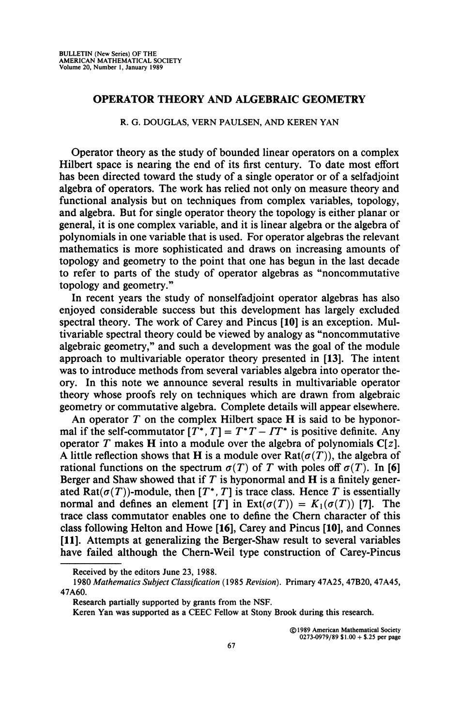## **OPERATOR THEORY AND ALGEBRAIC GEOMETRY**

## **R. G. DOUGLAS, VERN PAULSEN, AND KEREN YAN**

Operator theory as the study of bounded linear operators on a complex Hilbert space is nearing the end of its first century. To date most effort has been directed toward the study of a single operator or of a selfadjoint algebra of operators. The work has relied not only on measure theory and functional analysis but on techniques from complex variables, topology, and algebra. But for single operator theory the topology is either planar or general, it is one complex variable, and it is linear algebra or the algebra of polynomials in one variable that is used. For operator algebras the relevant mathematics is more sophisticated and draws on increasing amounts of topology and geometry to the point that one has begun in the last decade to refer to parts of the study of operator algebras as "noncommutative topology and geometry."

In recent years the study of nonselfadjoint operator algebras has also enjoyed considerable success but this development has largely excluded spectral theory. The work of Carey and Pincus **[10]** is an exception. Multivariable spectral theory could be viewed by analogy as "noncommutative algebraic geometry," and such a development was the goal of the module approach to multivariable operator theory presented in [13]. The intent was to introduce methods from several variables algebra into operator theory. In this note we announce several results in multivariable operator theory whose proofs rely on techniques which are drawn from algebraic geometry or commutative algebra. Complete details will appear elsewhere.

An operator *T* on the complex Hilbert space H is said to be hyponormal if the self-commutator  $[T^*, T] = T^*T - TT^*$  is positive definite. Any operator *T* makes **H** into a module over the algebra of polynomials  $C[z]$ . A little reflection shows that H is a module over  $\text{Rat}(\sigma(T))$ , the algebra of rational functions on the spectrum  $\sigma(T)$  of *T* with poles off  $\sigma(T)$ . In [6] Berger and Shaw showed that if *T* is hyponormal and H is a finitely generated Rat( $\sigma(T)$ )-module, then  $[T^*, T]$  is trace class. Hence T is essentially normal and defines an element  $[T]$  in  $Ext(\sigma(T)) = K_1(\sigma(T))$  [7]. The trace class commutator enables one to define the Chern character of this class following Helton and Howe **[16],** Carey and Pincus **[10],** and Connes **[11].** Attempts at generalizing the Berger-Shaw result to several variables have failed although the Chern-Weil type construction of Carey-Pincus

**©1989 American Mathematical Society 0273-0979/89 \$1.00 + \$.25 per page** 

**Received by the editors June 23, 1988.** 

**<sup>1980</sup>** *Mathematics Subject Classification* **(1985** *Revision).* **Primary 47A25, 47B20, 47A45, 47A60.** 

**Research partially supported by grants from the NSF.** 

**Keren Yan was supported as a CEEC Fellow at Stony Brook during this research.**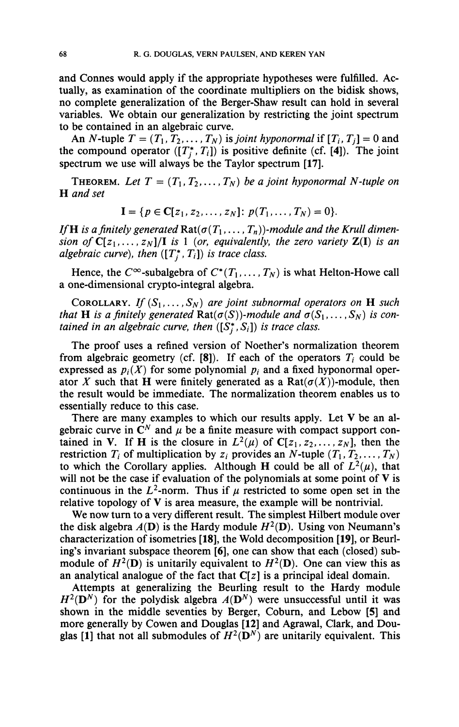and Connes would apply if the appropriate hypotheses were fulfilled. Actually, as examination of the coordinate multipliers on the bidisk shows, no complete generalization of the Berger-Shaw result can hold in several variables. We obtain our generalization by restricting the joint spectrum to be contained in an algebraic curve.

An N-tuple  $T = (T_1, T_2, ..., T_N)$  is *joint hyponormal* if  $[T_i, T_j] = 0$  and the compound operator  $([T_j^*, T_i])$  is positive definite (cf. [4]). The joint spectrum we use will always be the Taylor spectrum [17].

**THEOREM.** Let  $T = (T_1, T_2, \ldots, T_N)$  be a joint hyponormal N-tuple on H *and set* 

$$
\mathbf{I} = \{p \in \mathbf{C}[z_1, z_2, \ldots, z_N] : p(T_1, \ldots, T_N) = 0\}.
$$

*If* **H** is a finitely generated  $\text{Rat}(\sigma(T_1,\ldots,T_n))$ -module and the Krull dimen*sion of*  $C[z_1,...,z_N]/I$  *is* 1 (*or, equivalently, the zero variety*  $Z(I)$  *is an algebraic curve*), then  $([T_i^*, T_i])$  is trace class.

Hence, the  $C^{\infty}$ -subalgebra of  $C^*(T_1,\ldots,T_N)$  is what Helton-Howe call a one-dimensional crypto-integral algebra.

COROLLARY. If  $(S_1, \ldots, S_N)$  are joint subnormal operators on **H** such *that* **H** is a finitely generated  $\text{Rat}(\sigma(S))$ -module and  $\sigma(S_1,\ldots,S_N)$  is con*tained in an algebraic curve, then*  $([S_i^*, S_i])$  *is trace class.* 

The proof uses a refined version of Noether's normalization theorem from algebraic geometry (cf. [8]). If each of the operators  $T_i$  could be expressed as  $p_i(X)$  for some polynomial  $p_i$  and a fixed hyponormal operator X such that H were finitely generated as a Rat $(\sigma(X))$ -module, then the result would be immediate. The normalization theorem enables us to essentially reduce to this case.

There are many examples to which our results apply. Let V be an algebraic curve in  $\mathbb{C}^N$  and  $\mu$  be a finite measure with compact support contained in V. If H is the closure in  $L^2(\mu)$  of  $C[z_1, z_2, ..., z_N]$ , then the restriction  $T_i$  of multiplication by  $z_i$  provides an N-tuple  $(T_1, T_2, ..., T_N)$ to which the Corollary applies. Although H could be all of  $L^2(\mu)$ , that will not be the case if evaluation of the polynomials at some point of  $V$  is continuous in the  $L^2$ -norm. Thus if  $\mu$  restricted to some open set in the relative topology of  $V$  is area measure, the example will be nontrivial.

We now turn to a very different result. The simplest Hilbert module over the disk algebra  $A(D)$  is the Hardy module  $H^2(D)$ . Using von Neumann's characterization of isometries [18], the Wold decomposition [19], or Beurling's invariant subspace theorem [6], one can show that each (closed) submodule of  $H^2(D)$  is unitarily equivalent to  $H^2(D)$ . One can view this as an analytical analogue of the fact that  $C[z]$  is a principal ideal domain.

Attempts at generalizing the Beurling result to the Hardy module  $H^2(D^N)$  for the polydisk algebra  $A(D^N)$  were unsuccessful until it was shown in the middle seventies by Berger, Coburn, and Lebow [5] and more generally by Cowen and Douglas [12] and Agrawal, Clark, and Douglas [1] that not all submodules of  $H^2(D^N)$  are unitarily equivalent. This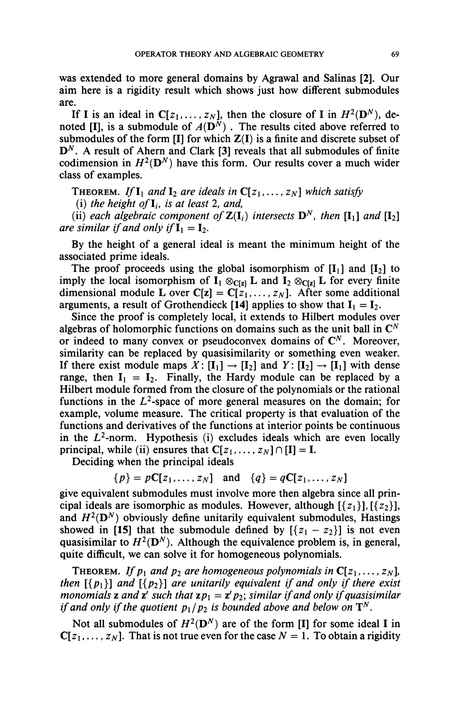was extended to more general domains by Agrawal and Salinas [2]. Our aim here is a rigidity result which shows just how different submodules are.

If I is an ideal in  $C[z_1, \ldots, z_N]$ , then the closure of I in  $H^2(D^N)$ , denoted [I], is a submodule of  $A(\mathbf{D}^N)$ . The results cited above referred to submodules of the form  $[I]$  for which  $Z(I)$  is a finite and discrete subset of  $\mathbf{D}^N$ . A result of Ahern and Clark [3] reveals that all submodules of finite codimension in  $H^2(D^N)$  have this form. Our results cover a much wider class of examples.

THEOREM. If  $I_1$  and  $I_2$  are ideals in  $C[z_1,\ldots,z_N]$  which satisfy

(i) the height of  $I_i$ , is at least 2, and,

(ii) each algebraic component of  $\mathbf{Z}(\mathbf{I}_i)$  intersects  $\mathbf{D}^N$ , then  $[\mathbf{I}_1]$  and  $[\mathbf{I}_2]$ *are similar if and only if*  $\mathbf{I}_1 = \mathbf{I}_2$ .

By the height of a general ideal is meant the minimum height of the associated prime ideals.

The proof proceeds using the global isomorphism of  $[I_1]$  and  $[I_2]$  to imply the local isomorphism of  $I_1 \otimes_{C[\mathbf{z}]} L$  and  $I_2 \otimes_{C[\mathbf{z}]} L$  for every finite dimensional module L over  $C[z] = C[z_1, \ldots, z_N]$ . After some additional arguments, a result of Grothendieck [14] applies to show that  $I_1 = I_2$ .

Since the proof is completely local, it extends to Hilbert modules over algebras of holomorphic functions on domains such as the unit ball in  $\mathbb{C}^N$ or indeed to many convex or pseudoconvex domains of  $\mathbb{C}^N$ . Moreover, similarity can be replaced by quasisimilarity or something even weaker. If there exist module maps  $X: [\mathbf{I}_1] \to [\mathbf{I}_2]$  and  $Y: [\mathbf{I}_2] \to [\mathbf{I}_1]$  with dense range, then  $I_1 = I_2$ . Finally, the Hardy module can be replaced by a Hilbert module formed from the closure of the polynomials or the rational functions in the  $L^2$ -space of more general measures on the domain; for example, volume measure. The critical property is that evaluation of the functions and derivatives of the functions at interior points be continuous in the  $L^2$ -norm. Hypothesis (i) excludes ideals which are even locally principal, while (ii) ensures that  $C[z_1, \ldots, z_N] \cap [I] = I$ .

Deciding when the principal ideals

 ${p} = pC[z_1, \ldots, z_N]$  and  ${q} = qC[z_1, \ldots, z_N]$ 

give equivalent submodules must involve more then algebra since all principal ideals are isomorphic as modules. However, although  $\{\{z_1\}\}\$ ,  $\{\{z_2\}\}\$ , and  $H^2(\mathbf{D}^N)$  obviously define unitarily equivalent submodules, Hastings showed in [15] that the submodule defined by  $[{z_1 - z_2}]$  is not even quasisimilar to  $H^2(\mathbf{D}^N)$ . Although the equivalence problem is, in general, quite difficult, we can solve it for homogeneous polynomials.

**THEOREM.** If  $p_1$  and  $p_2$  are homogeneous polynomials in  $C[z_1,..., z_N]$ , *then* [{ $p_1$ }] and [{ $p_2$ }] are unitarily equivalent if and only if there exist *monomials z and z' such that*  $\mathbf{z} p_1 = \mathbf{z}' p_2$ *; similar if and only if quasisimilar if and only if the quotient*  $p_1/p_2$  *is bounded above and below on*  $T^N$ .

Not all submodules of  $H^2(D^N)$  are of the form [I] for some ideal I in  $C[z_1, \ldots, z_N]$ . That is not true even for the case  $N = 1$ . To obtain a rigidity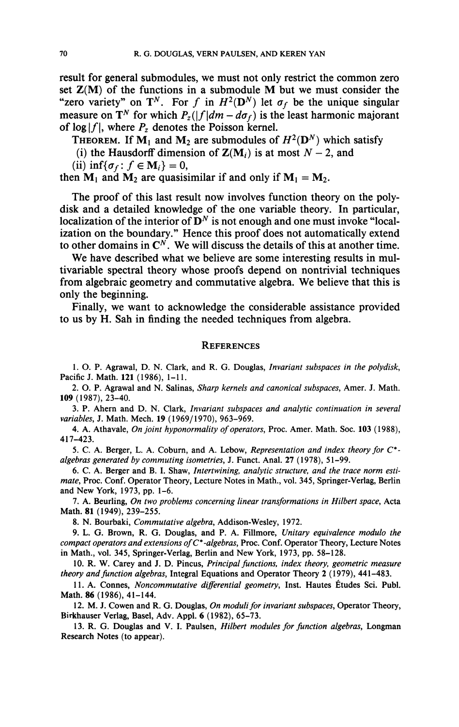result for general submodules, we must not only restrict the common zero set  $Z(M)$  of the functions in a submodule M but we must consider the "zero variety" on  $T^N$ . For f in  $H^2(D^N)$  let  $\sigma_f$  be the unique singular measure on T<sup>N</sup> for which  $P_z(|f|dm - d\sigma_f)$  is the least harmonic majorant of  $\log|f|$ , where  $P_z$  denotes the Poisson kernel.

THEOREM. If  $M_1$  and  $M_2$  are submodules of  $H^2(D^N)$  which satisfy

(i) the Hausdorff dimension of  $\mathbf{Z}(\mathbf{M}_i)$  is at most  $N-2$ , and

(ii) inf{ $\sigma_f$ :  $f \in M_i$ } = 0,

then  $M_1$  and  $M_2$  are quasisimilar if and only if  $M_1 = M_2$ .

The proof of this last result now involves function theory on the polydisk and a detailed knowledge of the one variable theory. In particular, localization of the interior of  $\mathbf{D}^N$  is not enough and one must invoke "localization on the boundary." Hence this proof does not automatically extend to other domains in  $\mathbb{C}^N$ . We will discuss the details of this at another time.

We have described what we believe are some interesting results in multivariable spectral theory whose proofs depend on nontrivial techniques from algebraic geometry and commutative algebra. We believe that this is only the beginning.

Finally, we want to acknowledge the considerable assistance provided to us by H. Sah in finding the needed techniques from algebra.

## **REFERENCES**

**1. O. P. Agrawal, D. N. Clark, and R. G. Douglas,** *Invariant subspaces in the polydisk,*  **Pacific J. Math. 121 (1986), 1-11.** 

**2. O. P. Agrawal and N. Salinas,** *Sharp kernels and canonical subspaces,* **Amer. J. Math. 109(1987), 23-40.** 

**3. P. Ahem and D. N. Clark,** *Invariant subspaces and analytic continuation in several variables,* **J. Math. Mech. 19 (1969/1970), 963-969.** 

**4. A. Athavale,** *On joint hyponormality of operators,* **Proc. Amer. Math. Soc. 103 (1988), 417-423.** 

**5. C. A. Berger, L. A. Coburn, and A. Lebow,** *Representation and index theory for* **C\*** *algebras generated by commuting isometries,* **J. Funct. Anal. 27 (1978), 51-99.** 

**6. C. A. Berger and B. I. Shaw,** *Intertwining, analytic structure, and the trace norm estimate,* **Proc. Conf. Operator Theory, Lecture Notes in Math., vol. 345, Springer-Verlag, Berlin and New York, 1973, pp. 1-6.** 

**7. A. Beurling,** *On two problems concerning linear transformations in Hubert space,* **Acta Math. 81 (1949), 239-255.** 

**8. N. Bourbaki,** *Commutative algebra,* **Addison-Wesley, 1972.** 

**9. L, G. Brown, R. G. Douglas, and P. A. Fillmore,** *Unitary equivalence modulo the compact operators and extensions of C\*-algebras,* **Proc. Conf. Operator Theory, Lecture Notes in Math., vol. 345, Springer-Verlag, Berlin and New York, 1973, pp. 58-128.** 

**10. R. W. Carey and J. D. Pincus,** *Principal functions, index theory, geometric measure theory and function algebras,* **Integral Equations and Operator Theory 2 (1979), 441-483.** 

**11. A. Connes,** *Noncommutative differential geometry,* **Inst. Hautes Études Sci. Publ. Math. 86(1986), 41-144.** 

**12. M. J. Cowen and R. G. Douglas,** *On moduli for invariant subspaces,* **Operator Theory, Birkhauser Verlag, Basel, Adv. Appl. 6 (1982), 65-73.** 

**13. R. G. Douglas and V. I. Paulsen,** *Hilbert modules for function algebras,* **Longman Research Notes (to appear).**